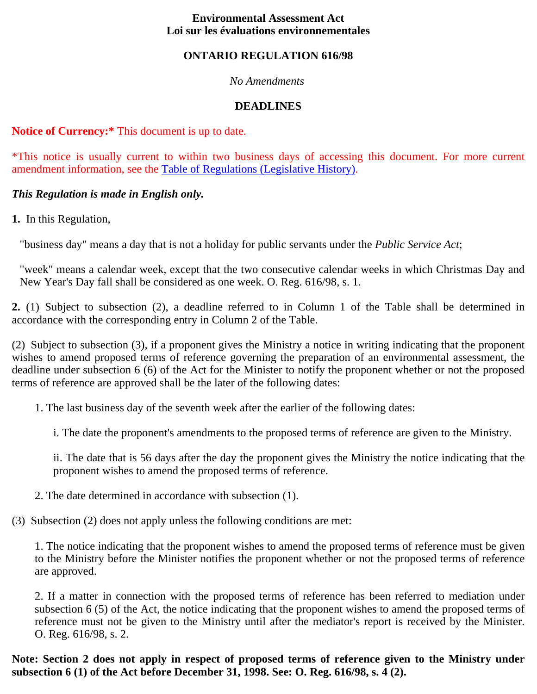#### **Environmental Assessment Act Loi sur les évaluations environnementales**

#### **ONTARIO REGULATION 616/98**

#### *No Amendments*

## **DEADLINES**

#### **Notice of Currency:\*** This document is up to date.

\*This notice is usually current to within two business days of accessing this document. For more current amendment information, see the Table of Regulations (Legislative History).

### *This Regulation is made in English only.*

**1.** In this Regulation,

"business day" means a day that is not a holiday for public servants under the *Public Service Act*;

"week" means a calendar week, except that the two consecutive calendar weeks in which Christmas Day and New Year's Day fall shall be considered as one week. O. Reg. 616/98, s. 1.

**2.** (1) Subject to subsection (2), a deadline referred to in Column 1 of the Table shall be determined in accordance with the corresponding entry in Column 2 of the Table.

(2) Subject to subsection (3), if a proponent gives the Ministry a notice in writing indicating that the proponent wishes to amend proposed terms of reference governing the preparation of an environmental assessment, the deadline under subsection 6 (6) of the Act for the Minister to notify the proponent whether or not the proposed terms of reference are approved shall be the later of the following dates:

1. The last business day of the seventh week after the earlier of the following dates:

i. The date the proponent's amendments to the proposed terms of reference are given to the Ministry.

ii. The date that is 56 days after the day the proponent gives the Ministry the notice indicating that the proponent wishes to amend the proposed terms of reference.

2. The date determined in accordance with subsection (1).

(3) Subsection (2) does not apply unless the following conditions are met:

1. The notice indicating that the proponent wishes to amend the proposed terms of reference must be given to the Ministry before the Minister notifies the proponent whether or not the proposed terms of reference are approved.

2. If a matter in connection with the proposed terms of reference has been referred to mediation under subsection 6 (5) of the Act, the notice indicating that the proponent wishes to amend the proposed terms of reference must not be given to the Ministry until after the mediator's report is received by the Minister. O. Reg. 616/98, s. 2.

**Note: Section 2 does not apply in respect of proposed terms of reference given to the Ministry under subsection 6 (1) of the Act before December 31, 1998. See: O. Reg. 616/98, s. 4 (2).**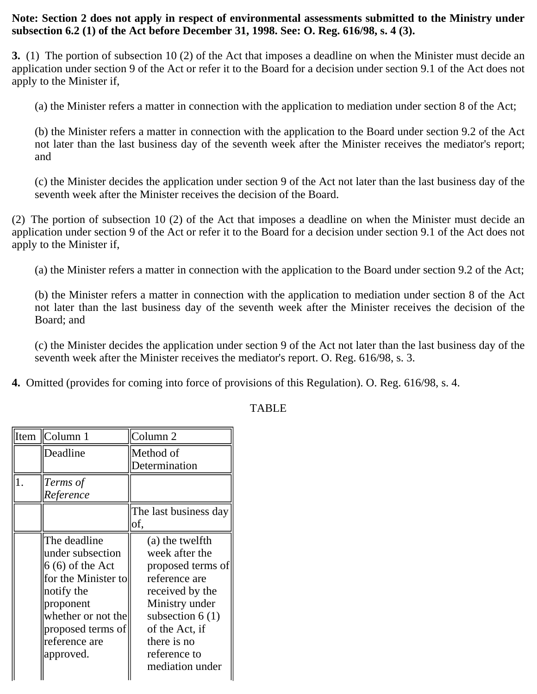#### **Note: Section 2 does not apply in respect of environmental assessments submitted to the Ministry under subsection 6.2 (1) of the Act before December 31, 1998. See: O. Reg. 616/98, s. 4 (3).**

**3.** (1) The portion of subsection 10 (2) of the Act that imposes a deadline on when the Minister must decide an application under section 9 of the Act or refer it to the Board for a decision under section 9.1 of the Act does not apply to the Minister if,

(a) the Minister refers a matter in connection with the application to mediation under section 8 of the Act;

(b) the Minister refers a matter in connection with the application to the Board under section 9.2 of the Act not later than the last business day of the seventh week after the Minister receives the mediator's report; and

(c) the Minister decides the application under section 9 of the Act not later than the last business day of the seventh week after the Minister receives the decision of the Board.

(2) The portion of subsection 10 (2) of the Act that imposes a deadline on when the Minister must decide an application under section 9 of the Act or refer it to the Board for a decision under section 9.1 of the Act does not apply to the Minister if,

(a) the Minister refers a matter in connection with the application to the Board under section 9.2 of the Act;

(b) the Minister refers a matter in connection with the application to mediation under section 8 of the Act not later than the last business day of the seventh week after the Minister receives the decision of the Board; and

(c) the Minister decides the application under section 9 of the Act not later than the last business day of the seventh week after the Minister receives the mediator's report. O. Reg. 616/98, s. 3.

**4.** Omitted (provides for coming into force of provisions of this Regulation). O. Reg. 616/98, s. 4.

| Item | Column 1            | Column <sub>2</sub>   |
|------|---------------------|-----------------------|
|      | Deadline            | Method of             |
|      |                     | Determination         |
| 1.   | Terms of            |                       |
|      | Reference           |                       |
|      |                     | The last business day |
|      |                     | of,                   |
|      | The deadline        | (a) the twelfth       |
|      | under subsection    | week after the        |
|      | $6(6)$ of the Act   | proposed terms of     |
|      | for the Minister to | reference are         |
|      | notify the          | received by the       |
|      | proponent           | Ministry under        |
|      | whether or not the  | subsection $6(1)$     |
|      | proposed terms of   | of the Act, if        |
|      | reference are       | there is no           |
|      | approved.           | reference to          |
|      |                     | mediation under       |

# TABLE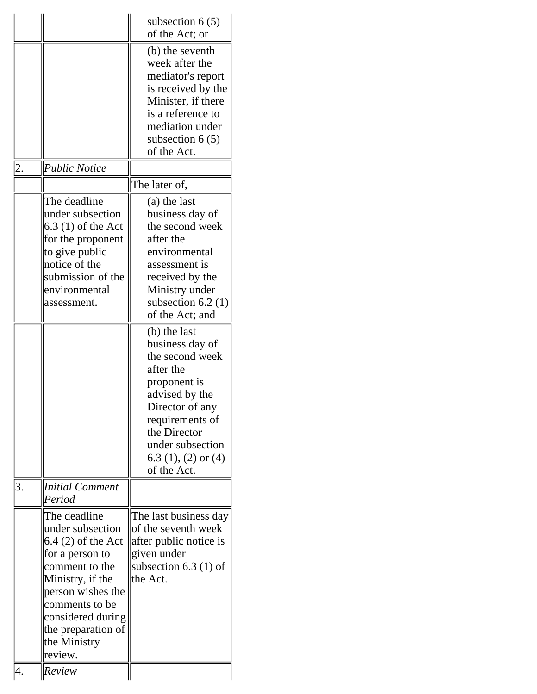|    | <b>Public Notice</b>                                                                                                                                                                                                          | subsection $6(5)$<br>of the Act; or<br>(b) the seventh<br>week after the<br>mediator's report<br>is received by the<br>Minister, if there<br>is a reference to<br>mediation under<br>subsection $6(5)$<br>of the Act.                                                                                                                                                                                    |
|----|-------------------------------------------------------------------------------------------------------------------------------------------------------------------------------------------------------------------------------|----------------------------------------------------------------------------------------------------------------------------------------------------------------------------------------------------------------------------------------------------------------------------------------------------------------------------------------------------------------------------------------------------------|
|    |                                                                                                                                                                                                                               | The later of,                                                                                                                                                                                                                                                                                                                                                                                            |
|    | The deadline<br>under subsection<br>$6.3$ (1) of the Act<br>for the proponent<br>to give public<br>notice of the<br>submission of the<br>environmental<br>assessment.                                                         | (a) the last<br>business day of<br>the second week<br>after the<br>environmental<br>assessment is<br>received by the<br>Ministry under<br>subsection $6.2$ (1)<br>of the Act; and<br>(b) the last<br>business day of<br>the second week<br>after the<br>proponent is<br>advised by the<br>Director of any<br>requirements of<br>the Director<br>under subsection<br>$6.3$ (1), (2) or (4)<br>of the Act. |
| 3. | <b>Initial Comment</b><br>Period                                                                                                                                                                                              |                                                                                                                                                                                                                                                                                                                                                                                                          |
|    | The deadline<br>under subsection<br>$6.4(2)$ of the Act<br>for a person to<br>comment to the<br>Ministry, if the<br>person wishes the<br>comments to be<br>considered during<br>the preparation of<br>the Ministry<br>review. | The last business day<br>of the seventh week<br>after public notice is<br>given under<br>subsection $6.3$ (1) of<br>the Act.                                                                                                                                                                                                                                                                             |
|    | Review                                                                                                                                                                                                                        |                                                                                                                                                                                                                                                                                                                                                                                                          |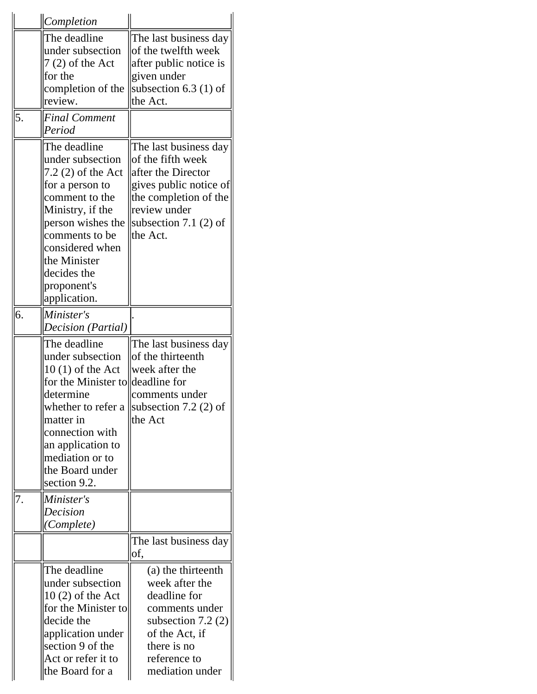|    | <i>Completion</i>                                                                                                                                                                                                                       |                                                                                                                                                                            |
|----|-----------------------------------------------------------------------------------------------------------------------------------------------------------------------------------------------------------------------------------------|----------------------------------------------------------------------------------------------------------------------------------------------------------------------------|
|    | The deadline<br>under subsection<br>7 (2) of the Act<br>for the<br>completion of the<br>review.                                                                                                                                         | The last business day<br>of the twelfth week<br>after public notice is<br>given under<br>subsection 6.3 (1) of<br>the Act.                                                 |
| 5. | <b>Final Comment</b><br>Period                                                                                                                                                                                                          |                                                                                                                                                                            |
|    | The deadline<br>under subsection<br>7.2 (2) of the Act<br>for a person to<br>comment to the<br>Ministry, if the<br>person wishes the<br>comments to be<br>considered when<br>the Minister<br>decides the<br>proponent's<br>application. | The last business day<br>of the fifth week<br>after the Director<br>gives public notice of<br>the completion of the<br>review under<br>subsection 7.1 $(2)$ of<br>the Act. |
| 6. | Minister's<br>Decision (Partial)                                                                                                                                                                                                        |                                                                                                                                                                            |
|    | The deadline<br>under subsection<br>$10(1)$ of the Act<br>for the Minister to<br>determine<br>whether to refer a<br>matter in<br>connection with<br>an application to<br>mediation or to<br>the Board under<br>section 9.2.             | The last business day<br>of the thirteenth<br>week after the<br>deadline for<br>comments under<br>subsection 7.2 $(2)$ of<br>the Act                                       |
| 7. | Minister's<br>Decision<br>(Complete)                                                                                                                                                                                                    |                                                                                                                                                                            |
|    |                                                                                                                                                                                                                                         | The last business day<br>of,                                                                                                                                               |
|    | The deadline<br>under subsection<br>$10(2)$ of the Act<br>for the Minister to<br>decide the<br>application under<br>section 9 of the<br>Act or refer it to<br>the Board for a                                                           | (a) the thirteenth<br>week after the<br>deadline for<br>comments under<br>subsection 7.2 $(2)$<br>of the Act, if<br>there is no<br>reference to<br>mediation under         |